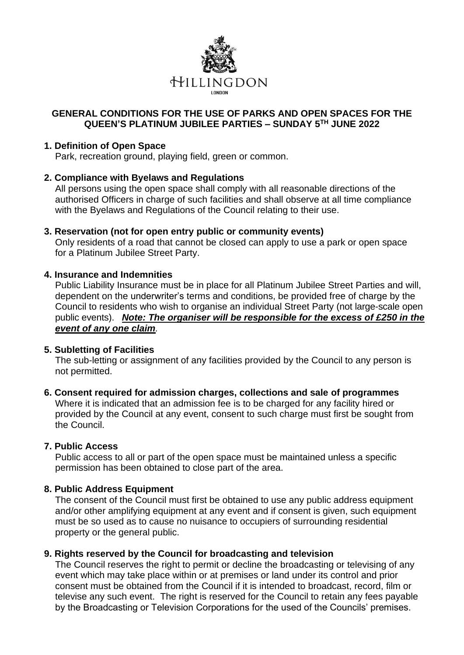

## **GENERAL CONDITIONS FOR THE USE OF PARKS AND OPEN SPACES FOR THE QUEEN'S PLATINUM JUBILEE PARTIES – SUNDAY 5 TH JUNE 2022**

#### **1. Definition of Open Space**

Park, recreation ground, playing field, green or common.

## **2. Compliance with Byelaws and Regulations**

All persons using the open space shall comply with all reasonable directions of the authorised Officers in charge of such facilities and shall observe at all time compliance with the Byelaws and Regulations of the Council relating to their use.

## **3. Reservation (not for open entry public or community events)**

Only residents of a road that cannot be closed can apply to use a park or open space for a Platinum Jubilee Street Party.

## **4. Insurance and Indemnities**

Public Liability Insurance must be in place for all Platinum Jubilee Street Parties and will, dependent on the underwriter's terms and conditions, be provided free of charge by the Council to residents who wish to organise an individual Street Party (not large-scale open public events). *Note: The organiser will be responsible for the excess of £250 in the event of any one claim.* 

# **5. Subletting of Facilities**

The sub-letting or assignment of any facilities provided by the Council to any person is not permitted.

#### **6. Consent required for admission charges, collections and sale of programmes**

Where it is indicated that an admission fee is to be charged for any facility hired or provided by the Council at any event, consent to such charge must first be sought from the Council.

# **7. Public Access**

Public access to all or part of the open space must be maintained unless a specific permission has been obtained to close part of the area.

# **8. Public Address Equipment**

The consent of the Council must first be obtained to use any public address equipment and/or other amplifying equipment at any event and if consent is given, such equipment must be so used as to cause no nuisance to occupiers of surrounding residential property or the general public.

# **9. Rights reserved by the Council for broadcasting and television**

The Council reserves the right to permit or decline the broadcasting or televising of any event which may take place within or at premises or land under its control and prior consent must be obtained from the Council if it is intended to broadcast, record, film or televise any such event. The right is reserved for the Council to retain any fees payable by the Broadcasting or Television Corporations for the used of the Councils' premises.